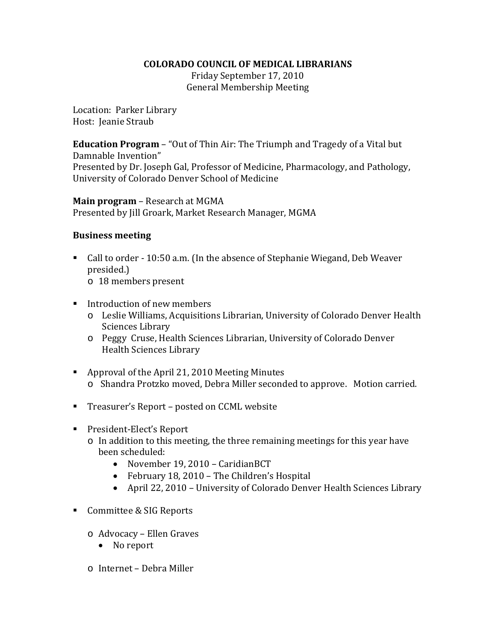## **COLORADO COUNCIL OF MEDICAL LIBRARIANS**

Friday September 17, 2010 General Membership Meeting

Location: Parker Library Host: Jeanie Straub

**Education Program** – "Out of Thin Air: The Triumph and Tragedy of a Vital but Damnable Invention" Presented by Dr. Joseph Gal, Professor of Medicine, Pharmacology, and Pathology, University of Colorado Denver School of Medicine

**Main program** – Research at MGMA Presented by Jill Groark, Market Research Manager, MGMA

## **Business meeting**

- Call to order 10:50 a.m. (In the absence of Stephanie Wiegand, Deb Weaver presided.)
	- o 18 members present
- Introduction of new members
	- o Leslie Williams, Acquisitions Librarian, University of Colorado Denver Health Sciences Library
	- o Peggy Cruse, Health Sciences Librarian, University of Colorado Denver Health Sciences Library
- Approval of the April 21, 2010 Meeting Minutes o Shandra Protzko moved, Debra Miller seconded to approve. Motion carried.
- Treasurer's Report posted on CCML website
- President-Elect's Report
	- o In addition to this meeting, the three remaining meetings for this year have been scheduled:
		- November 19, 2010 CaridianBCT
		- February 18, 2010 The Children's Hospital
		- April 22, 2010 University of Colorado Denver Health Sciences Library
- Committee & SIG Reports
	- o Advocacy Ellen Graves
		- No report
	- o Internet Debra Miller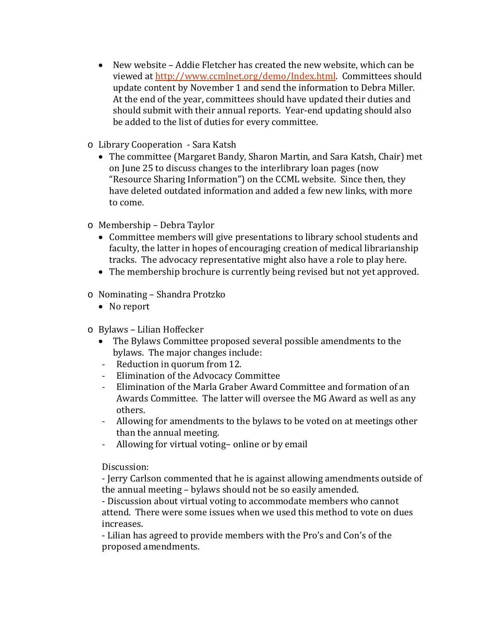- New website Addie Fletcher has created the new website, which can be viewed a[t http://www.ccmlnet.org/demo/Index.html.](http://www.ccmlnet.org/demo/Index.html) Committees should update content by November 1 and send the information to Debra Miller. At the end of the year, committees should have updated their duties and should submit with their annual reports. Year-end updating should also be added to the list of duties for every committee.
- o Library Cooperation Sara Katsh
	- The committee (Margaret Bandy, Sharon Martin, and Sara Katsh, Chair) met on June 25 to discuss changes to the interlibrary loan pages (now "Resource Sharing Information") on the CCML website. Since then, they have deleted outdated information and added a few new links, with more to come.
- o Membership Debra Taylor
	- Committee members will give presentations to library school students and faculty, the latter in hopes of encouraging creation of medical librarianship tracks. The advocacy representative might also have a role to play here.
	- The membership brochure is currently being revised but not yet approved.
- o Nominating Shandra Protzko
	- No report
- o Bylaws Lilian Hoffecker
	- The Bylaws Committee proposed several possible amendments to the bylaws. The major changes include:
	- Reduction in quorum from 12.
	- Elimination of the Advocacy Committee
	- Elimination of the Marla Graber Award Committee and formation of an Awards Committee. The latter will oversee the MG Award as well as any others.
	- Allowing for amendments to the bylaws to be voted on at meetings other than the annual meeting.
	- Allowing for virtual voting– online or by email

Discussion:

- Jerry Carlson commented that he is against allowing amendments outside of the annual meeting – bylaws should not be so easily amended.

- Discussion about virtual voting to accommodate members who cannot attend. There were some issues when we used this method to vote on dues increases.

- Lilian has agreed to provide members with the Pro's and Con's of the proposed amendments.